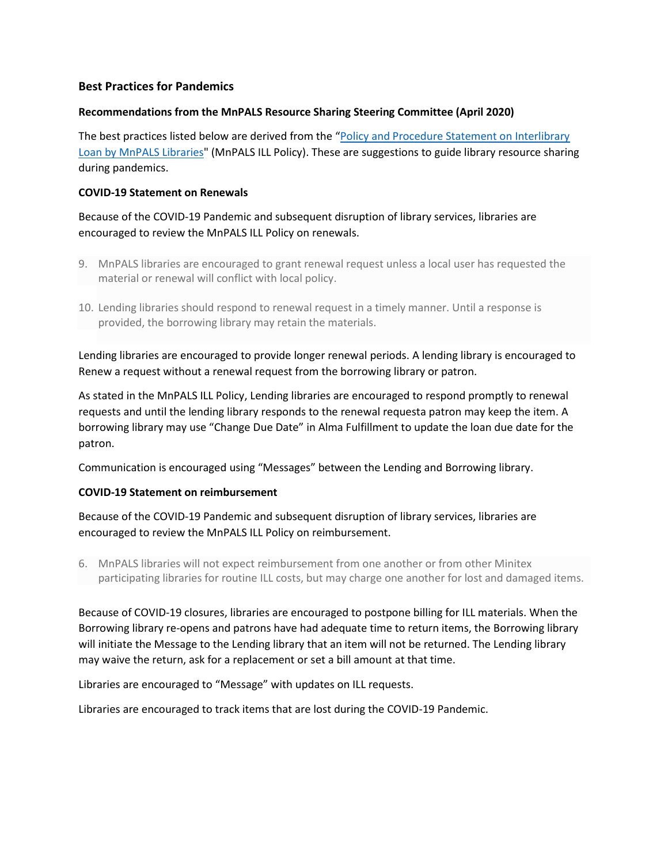# **Best Practices for Pandemics**

### **Recommendations from the MnPALS Resource Sharing Steering Committee (April 2020)**

The best practices listed below are derived from the "Policy and Procedure Statement on Interlibrary [Loan by MnPALS Libraries"](https://www.mnpals.org/the-consortium/ill-policy/) (MnPALS ILL Policy). These are suggestions to guide library resource sharing during pandemics.

## **COVID-19 Statement on Renewals**

Because of the COVID-19 Pandemic and subsequent disruption of library services, libraries are encouraged to review the MnPALS ILL Policy on renewals.

- 9. MnPALS libraries are encouraged to grant renewal request unless a local user has requested the material or renewal will conflict with local policy.
- 10. Lending libraries should respond to renewal request in a timely manner. Until a response is provided, the borrowing library may retain the materials.

Lending libraries are encouraged to provide longer renewal periods. A lending library is encouraged to Renew a request without a renewal request from the borrowing library or patron.

As stated in the MnPALS ILL Policy, Lending libraries are encouraged to respond promptly to renewal requests and until the lending library responds to the renewal requesta patron may keep the item. A borrowing library may use "Change Due Date" in Alma Fulfillment to update the loan due date for the patron.

Communication is encouraged using "Messages" between the Lending and Borrowing library.

# **COVID-19 Statement on reimbursement**

Because of the COVID-19 Pandemic and subsequent disruption of library services, libraries are encouraged to review the MnPALS ILL Policy on reimbursement.

6. MnPALS libraries will not expect reimbursement from one another or from other Minitex participating libraries for routine ILL costs, but may charge one another for lost and damaged items.

Because of COVID-19 closures, libraries are encouraged to postpone billing for ILL materials. When the Borrowing library re-opens and patrons have had adequate time to return items, the Borrowing library will initiate the Message to the Lending library that an item will not be returned. The Lending library may waive the return, ask for a replacement or set a bill amount at that time.

Libraries are encouraged to "Message" with updates on ILL requests.

Libraries are encouraged to track items that are lost during the COVID-19 Pandemic.